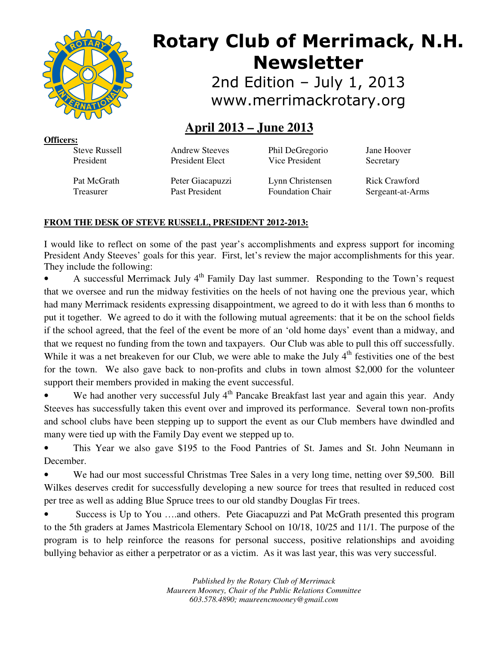

# **Rotary Club of Merrimack, N.H. Newsletter**

2nd Edition – July 1, 2013 www.merrimackrotary.org

# **April 2013 – June 2013**

**Officers:** 

Steve Russell President

Andrew Steeves President Elect

Phil DeGregorio Vice President

Jane Hoover Secretary

Pat McGrath Treasurer

Peter Giacapuzzi Past President

Lynn Christensen Foundation Chair

Rick Crawford Sergeant-at-Arms

## **FROM THE DESK OF STEVE RUSSELL, PRESIDENT 2012-2013:**

I would like to reflect on some of the past year's accomplishments and express support for incoming President Andy Steeves' goals for this year. First, let's review the major accomplishments for this year. They include the following:

A successful Merrimack July  $4<sup>th</sup>$  Family Day last summer. Responding to the Town's request that we oversee and run the midway festivities on the heels of not having one the previous year, which had many Merrimack residents expressing disappointment, we agreed to do it with less than 6 months to put it together. We agreed to do it with the following mutual agreements: that it be on the school fields if the school agreed, that the feel of the event be more of an 'old home days' event than a midway, and that we request no funding from the town and taxpayers. Our Club was able to pull this off successfully. While it was a net breakeven for our Club, we were able to make the July 4<sup>th</sup> festivities one of the best for the town. We also gave back to non-profits and clubs in town almost \$2,000 for the volunteer support their members provided in making the event successful.

We had another very successful July  $4<sup>th</sup>$  Pancake Breakfast last year and again this year. Andy Steeves has successfully taken this event over and improved its performance. Several town non-profits and school clubs have been stepping up to support the event as our Club members have dwindled and many were tied up with the Family Day event we stepped up to.

• This Year we also gave \$195 to the Food Pantries of St. James and St. John Neumann in December.

We had our most successful Christmas Tree Sales in a very long time, netting over \$9,500. Bill Wilkes deserves credit for successfully developing a new source for trees that resulted in reduced cost per tree as well as adding Blue Spruce trees to our old standby Douglas Fir trees.

Success is Up to You ....and others. Pete Giacapuzzi and Pat McGrath presented this program to the 5th graders at James Mastricola Elementary School on 10/18, 10/25 and 11/1. The purpose of the program is to help reinforce the reasons for personal success, positive relationships and avoiding bullying behavior as either a perpetrator or as a victim. As it was last year, this was very successful.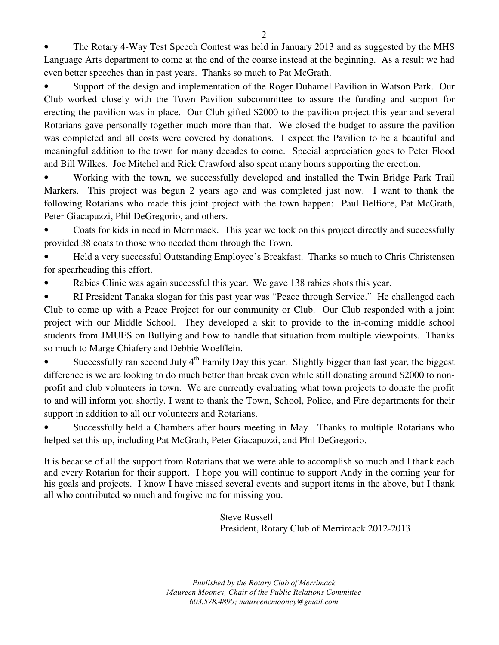• The Rotary 4-Way Test Speech Contest was held in January 2013 and as suggested by the MHS Language Arts department to come at the end of the coarse instead at the beginning. As a result we had even better speeches than in past years. Thanks so much to Pat McGrath.

• Support of the design and implementation of the Roger Duhamel Pavilion in Watson Park. Our Club worked closely with the Town Pavilion subcommittee to assure the funding and support for erecting the pavilion was in place. Our Club gifted \$2000 to the pavilion project this year and several Rotarians gave personally together much more than that. We closed the budget to assure the pavilion was completed and all costs were covered by donations. I expect the Pavilion to be a beautiful and meaningful addition to the town for many decades to come. Special appreciation goes to Peter Flood and Bill Wilkes. Joe Mitchel and Rick Crawford also spent many hours supporting the erection.

• Working with the town, we successfully developed and installed the Twin Bridge Park Trail Markers. This project was begun 2 years ago and was completed just now. I want to thank the following Rotarians who made this joint project with the town happen: Paul Belfiore, Pat McGrath, Peter Giacapuzzi, Phil DeGregorio, and others.

• Coats for kids in need in Merrimack. This year we took on this project directly and successfully provided 38 coats to those who needed them through the Town.

• Held a very successful Outstanding Employee's Breakfast. Thanks so much to Chris Christensen for spearheading this effort.

Rabies Clinic was again successful this year. We gave 138 rabies shots this year.

RI President Tanaka slogan for this past year was "Peace through Service." He challenged each Club to come up with a Peace Project for our community or Club. Our Club responded with a joint project with our Middle School. They developed a skit to provide to the in-coming middle school students from JMUES on Bullying and how to handle that situation from multiple viewpoints. Thanks so much to Marge Chiafery and Debbie Woelflein.

Successfully ran second July  $4<sup>th</sup>$  Family Day this year. Slightly bigger than last year, the biggest difference is we are looking to do much better than break even while still donating around \$2000 to nonprofit and club volunteers in town. We are currently evaluating what town projects to donate the profit to and will inform you shortly. I want to thank the Town, School, Police, and Fire departments for their support in addition to all our volunteers and Rotarians.

• Successfully held a Chambers after hours meeting in May. Thanks to multiple Rotarians who helped set this up, including Pat McGrath, Peter Giacapuzzi, and Phil DeGregorio.

It is because of all the support from Rotarians that we were able to accomplish so much and I thank each and every Rotarian for their support. I hope you will continue to support Andy in the coming year for his goals and projects. I know I have missed several events and support items in the above, but I thank all who contributed so much and forgive me for missing you.

> Steve Russell President, Rotary Club of Merrimack 2012-2013

*Published by the Rotary Club of Merrimack Maureen Mooney, Chair of the Public Relations Committee 603.578.4890; maureencmooney@gmail.com*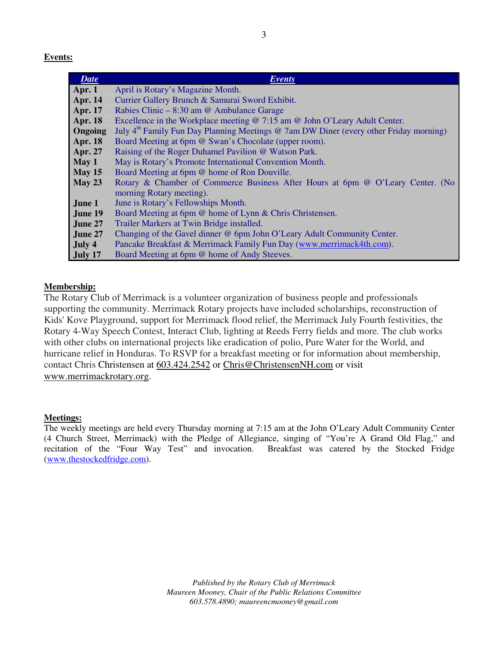**Events:** 

| <b>Date</b>    | <i>Events</i>                                                                                     |  |  |  |
|----------------|---------------------------------------------------------------------------------------------------|--|--|--|
| Apr. $1$       | April is Rotary's Magazine Month.                                                                 |  |  |  |
| <b>Apr. 14</b> | Currier Gallery Brunch & Samurai Sword Exhibit.                                                   |  |  |  |
| <b>Apr. 17</b> | Rabies Clinic – 8:30 am @ Ambulance Garage                                                        |  |  |  |
| <b>Apr. 18</b> | Excellence in the Workplace meeting @ 7:15 am @ John O'Leary Adult Center.                        |  |  |  |
| Ongoing        | July 4 <sup>th</sup> Family Fun Day Planning Meetings @ 7am DW Diner (every other Friday morning) |  |  |  |
| <b>Apr. 18</b> | Board Meeting at 6pm @ Swan's Chocolate (upper room).                                             |  |  |  |
| <b>Apr. 27</b> | Raising of the Roger Duhamel Pavilion @ Watson Park.                                              |  |  |  |
| May 1          | May is Rotary's Promote International Convention Month.                                           |  |  |  |
| May $15$       | Board Meeting at 6pm @ home of Ron Douville.                                                      |  |  |  |
| May 23         | Rotary & Chamber of Commerce Business After Hours at 6pm @ O'Leary Center. (No                    |  |  |  |
|                | morning Rotary meeting).                                                                          |  |  |  |
| June 1         | June is Rotary's Fellowships Month.                                                               |  |  |  |
| June 19        | Board Meeting at 6pm @ home of Lynn & Chris Christensen.                                          |  |  |  |
| June 27        | Trailer Markers at Twin Bridge installed.                                                         |  |  |  |
| June 27        | Changing of the Gavel dinner @ 6pm John O'Leary Adult Community Center.                           |  |  |  |
| July 4         | Pancake Breakfast & Merrimack Family Fun Day (www.merrimack4th.com).                              |  |  |  |
| July 17        | Board Meeting at 6pm @ home of Andy Steeves.                                                      |  |  |  |

### **Membership:**

The Rotary Club of Merrimack is a volunteer organization of business people and professionals supporting the community. Merrimack Rotary projects have included scholarships, reconstruction of Kids' Kove Playground, support for Merrimack flood relief, the Merrimack July Fourth festivities, the Rotary 4-Way Speech Contest, Interact Club, lighting at Reeds Ferry fields and more. The club works with other clubs on international projects like eradication of polio, Pure Water for the World, and hurricane relief in Honduras. To RSVP for a breakfast meeting or for information about membership, contact Chris Christensen at 603.424.2542 or Chris@ChristensenNH.com or visit www.merrimackrotary.org.

#### **Meetings:**

The weekly meetings are held every Thursday morning at 7:15 am at the John O'Leary Adult Community Center (4 Church Street, Merrimack) with the Pledge of Allegiance, singing of "You're A Grand Old Flag," and recitation of the "Four Way Test" and invocation. Breakfast was catered by the Stocked Fridge (www.thestockedfridge.com).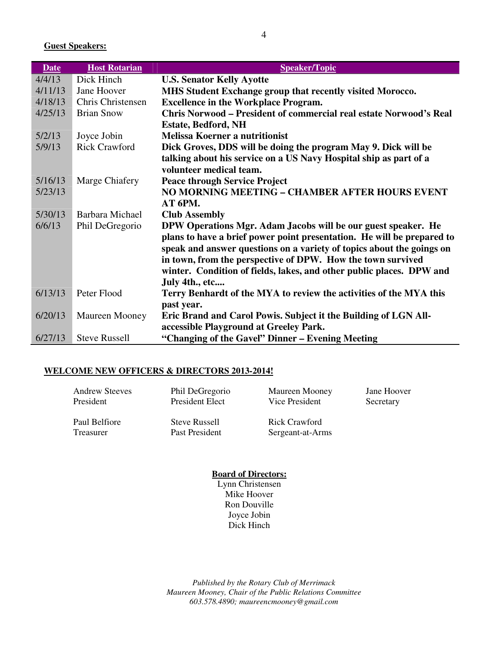**Guest Speakers:** 

| <b>Date</b> | <b>Host Rotarian</b>                                                   | <b>Speaker/Topic</b>                                                      |  |  |
|-------------|------------------------------------------------------------------------|---------------------------------------------------------------------------|--|--|
| 4/4/13      | Dick Hinch                                                             | <b>U.S. Senator Kelly Ayotte</b>                                          |  |  |
| 4/11/13     | Jane Hoover                                                            | MHS Student Exchange group that recently visited Morocco.                 |  |  |
| 4/18/13     | Chris Christensen                                                      | <b>Excellence in the Workplace Program.</b>                               |  |  |
| 4/25/13     | <b>Brian Snow</b>                                                      | <b>Chris Norwood - President of commercial real estate Norwood's Real</b> |  |  |
|             |                                                                        | <b>Estate, Bedford, NH</b>                                                |  |  |
| 5/2/13      | Joyce Jobin                                                            | <b>Melissa Koerner a nutritionist</b>                                     |  |  |
| 5/9/13      | <b>Rick Crawford</b>                                                   | Dick Groves, DDS will be doing the program May 9. Dick will be            |  |  |
|             |                                                                        | talking about his service on a US Navy Hospital ship as part of a         |  |  |
|             |                                                                        | volunteer medical team.                                                   |  |  |
| 5/16/13     | Marge Chiafery                                                         | <b>Peace through Service Project</b>                                      |  |  |
| 5/23/13     |                                                                        | NO MORNING MEETING - CHAMBER AFTER HOURS EVENT                            |  |  |
|             |                                                                        | AT 6PM.                                                                   |  |  |
| 5/30/13     | Barbara Michael                                                        | <b>Club Assembly</b>                                                      |  |  |
| 6/6/13      | Phil DeGregorio                                                        | DPW Operations Mgr. Adam Jacobs will be our guest speaker. He             |  |  |
|             | plans to have a brief power point presentation. He will be prepared to |                                                                           |  |  |
|             |                                                                        | speak and answer questions on a variety of topics about the goings on     |  |  |
|             |                                                                        | in town, from the perspective of DPW. How the town survived               |  |  |
|             |                                                                        | winter. Condition of fields, lakes, and other public places. DPW and      |  |  |
|             |                                                                        | July 4th., etc                                                            |  |  |
| 6/13/13     | Peter Flood                                                            | Terry Benhardt of the MYA to review the activities of the MYA this        |  |  |
|             |                                                                        | past year.                                                                |  |  |
| 6/20/13     | Maureen Mooney                                                         | Eric Brand and Carol Powis. Subject it the Building of LGN All-           |  |  |
|             |                                                                        | accessible Playground at Greeley Park.                                    |  |  |
| 6/27/13     | <b>Steve Russell</b>                                                   | "Changing of the Gavel" Dinner – Evening Meeting                          |  |  |

#### **WELCOME NEW OFFICERS & DIRECTORS 2013-2014!**

| <b>Andrew Steeves</b> | Phil DeGregorio      | Maureen Mooney   | Jane Hoover |
|-----------------------|----------------------|------------------|-------------|
| President             | President Elect      | Vice President   | Secretary   |
| Paul Belfiore         | <b>Steve Russell</b> | Rick Crawford    |             |
| Treasurer             | Past President       | Sergeant-at-Arms |             |

**Board of Directors:**  Lynn Christensen Mike Hoover Ron Douville Joyce Jobin Dick Hinch

*Published by the Rotary Club of Merrimack Maureen Mooney, Chair of the Public Relations Committee 603.578.4890; maureencmooney@gmail.com*